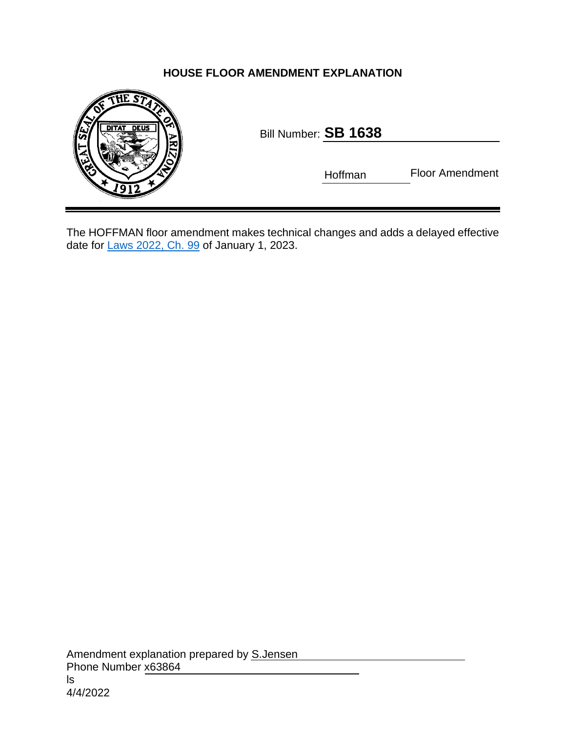## **HOUSE FLOOR AMENDMENT EXPLANATION**



| Bill Number: ${\bf SB}$ ${\bf 1638}$ |  |  |
|--------------------------------------|--|--|
|                                      |  |  |

Hoffman Floor Amendment

The HOFFMAN floor amendment makes technical changes and adds a delayed effective date for [Laws 2022, Ch. 99](https://www.azleg.gov/legtext/55leg/2R/laws/0099.pdf) of January 1, 2023.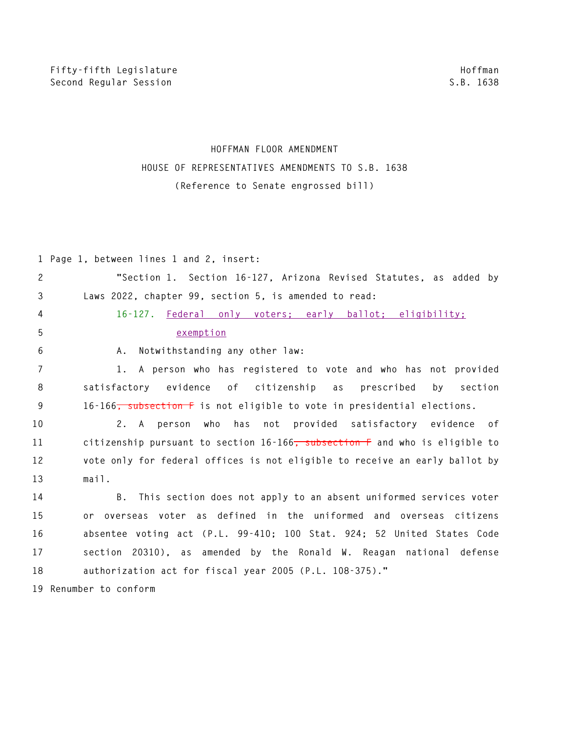## **HOFFMAN FLOOR AMENDMENT HOUSE OF REPRESENTATIVES AMENDMENTS TO S.B. 1638 (Reference to Senate engrossed bill)**

|                | 1 Page 1, between lines 1 and 2, insert:                                            |
|----------------|-------------------------------------------------------------------------------------|
| $\mathbf{2}$   | "Section 1. Section 16-127, Arizona Revised Statutes, as added by                   |
| 3              | Laws 2022, chapter 99, section 5, is amended to read:                               |
| 4              | 16-127. Federal only voters; early ballot; eligibility;                             |
| 5              | exemption                                                                           |
| 6              | Notwithstanding any other law:<br>Α.                                                |
| $\overline{7}$ | 1. A person who has registered to vote and who has not provided                     |
| 8              | satisfactory evidence<br>of citizenship as<br>prescribed by section                 |
| 9              | 16-166 <del>, subsection F</del> is not eligible to vote in presidential elections. |
| 10             | 2. A person who has not provided satisfactory evidence of                           |
| 11             | citizenship pursuant to section 16-166, subsection F and who is eligible to         |
| 12             | vote only for federal offices is not eligible to receive an early ballot by         |
| 13             | mail.                                                                               |
| 14             | B. This section does not apply to an absent uniformed services voter                |
| 15             | or overseas voter as defined in the uniformed and overseas citizens                 |
| 16             | absentee voting act (P.L. 99-410; 100 Stat. 924; 52 United States Code              |
| 17             | section 20310), as amended by the Ronald W. Reagan national defense                 |
| 18             | authorization act for fiscal year 2005 (P.L. 108-375)."                             |
|                | 19 Renumber to conform                                                              |